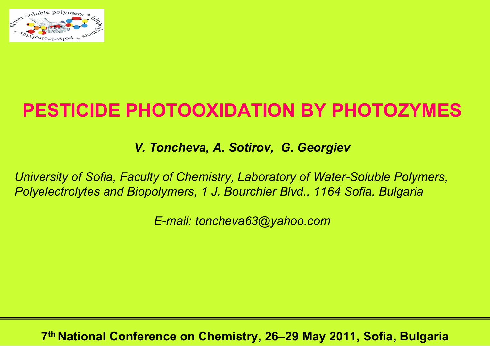

# **PESTICIDE PHOTOOXIDATION BY PHOTOZYMES**

*V. Toncheva, A. Sotirov, G. Georgiev*

*University of Sofia, Faculty of Chemistry, Laboratory of Water-Soluble Polymers, Polyelectrolytes and Biopolymers, 1 J. Bourchier Blvd., 1164 Sofia, Bulgaria* 

*E-mail: toncheva63@yahoo.com*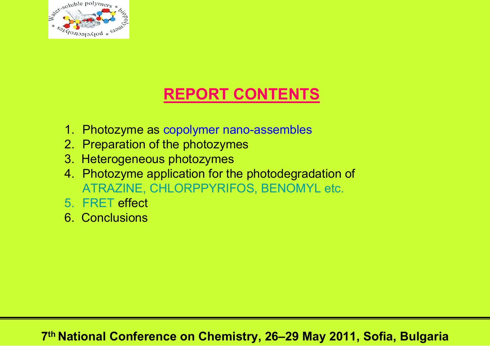

# **REPORT CONTENTS**

- 1. Photozyme as copolymer nano-assembles
- 2. Preparation of the photozymes
- 3. Heterogeneous photozymes
- 4. Photozyme application for the photodegradation of ATRAZINE, CHLORPPYRIFOS, BENOMYL etc.
- 5. FRET effect
- 6. Conclusions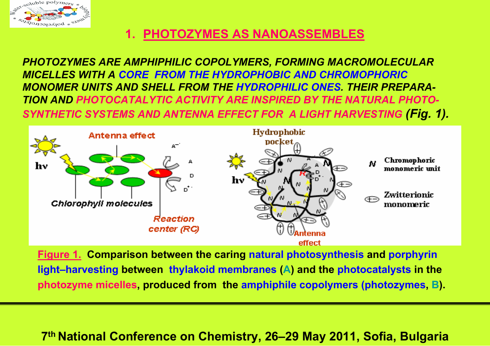

### **1. PHOTOZYMES AS NANOASSEMBLES**

*PHOTOZYMES ARE AMPHIPHILIC COPOLYMERS, FORMING MACROMOLECULAR MICELLES WITH A CORE FROM THE HYDROPHOBIC AND CHROMOPHORICMONOMER UNITS AND SHELL FROM THE HYDROPHILIC ONES. THEIR PREPARA-TION AND PHOTOCATALYTIC ACTIVITY ARE INSPIRED BY THE NATURAL PHOTO-SYNTHETIC SYSTEMS AND ANTENNA EFFECT FOR A LIGHT HARVESTING (Fig. 1).*



**Figure 1. Comparison between the caring natural photosynthesis and porphyrin light–harvesting between thylakoid membranes (A) and the photocatalysts in the photozyme micelles, produced from the amphiphile copolymers (photozymes, B).**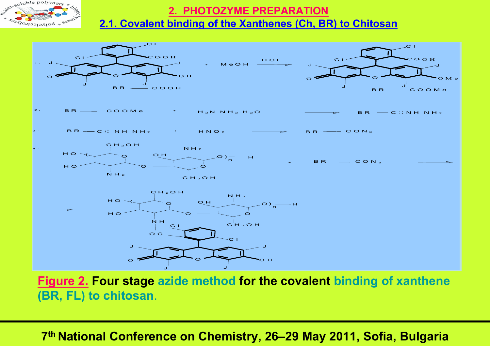

## **2. PHOTOZYME PREPARATION**

#### **2.1. Covalent binding of the Xanthenes (Ch, BR) to Chitosan**



**Figure 2. Four stage azide method for the covalent binding of xanthene (BR, FL) to chitosan**.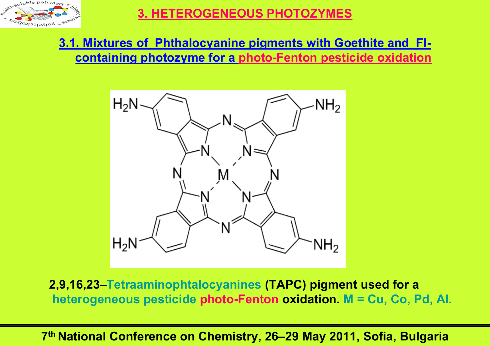

## **3. HETEROGENEOUS PHOTOZYMES**

## **3.1. Mixtures of Phthalocyanine pigments with Goethite and Flcontaining photozyme for a photo-Fenton pesticide oxidation**



**2,9,16,23–Tetraaminophtalocyanines (TAPC) pigment used for a heterogeneous pesticide photo-Fenton oxidation. M = Cu, Co, Pd, Al.**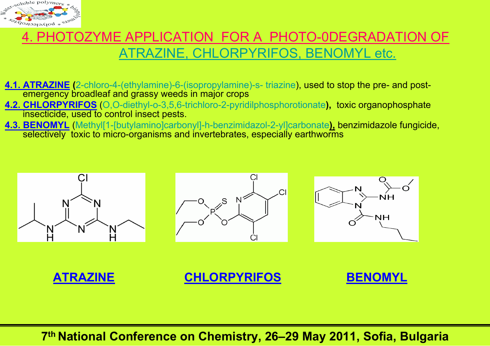

## 4. PHOTOZYME APPLICATION FOR A PHOTO-0DEGRADATION OF ATRAZINE, CHLORPYRIFOS, BENOMYL etc.

- **4.1. ATRAZINE (**2-chloro-4-(ethylamine)-6-(isopropylamine)-s- triazine), used to stop the pre- and postemergency broadleaf and grassy weeds in major crops
- **4.2. CHLORPYRIFOS** (O,O-diethyl-o-3,5,6-trichloro-2-pyridilphosphorotionate**),** toxic organophosphate insecticide, used to control insect pests.
- **4.3. BENOMYL** (Methyl[1-[butylamino]carbonyl]-h-benzimidazol-2-yl]carbonate**),** benzimidazole fungicide, selectively toxic to micro-organisms and invertebrates, especially earthworms

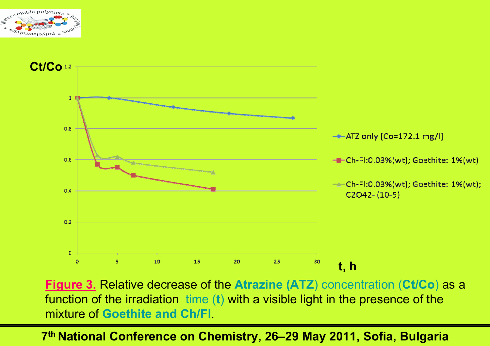



**Figure 3.** Relative decrease of the **Atrazine (ATZ**) concentration (**Ct/Co**) as a function of the irradiation time (**t**) with a visible light in the presence of the mixture of **Goethite and Ch/Fl**.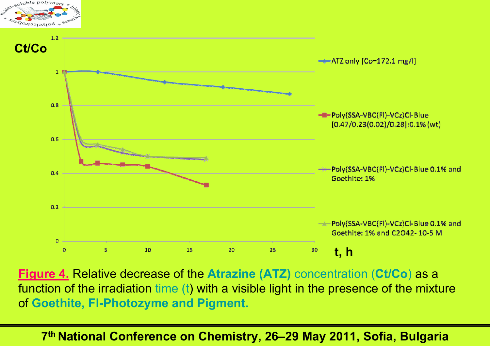

**Figure 4.** Relative decrease of the **Atrazine (ATZ)** concentration (**Ct/Co**) as a function of the irradiation time (t) with a visible light in the presence of the mixture of **Goethite, Fl-Photozyme and Pigment.**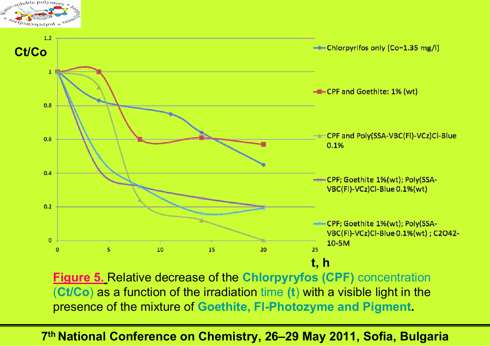

**Figure 5.** Relative decrease of the **Chlorpyryfos (CPF)** concentration (**Ct/Co**) as a function of the irradiation time **(t**) with a visible light in the presence of the mixture of **Goethite, Fl-Photozyme and Pigment.**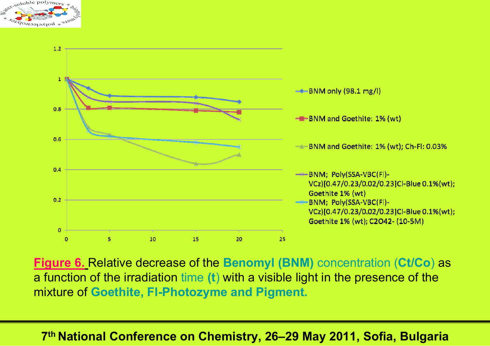



**Figure 6.** Relative decrease of the **Benomyl (BNM)** concentration (**Ct/Co**) as a function of the irradiation time **(t**) with a visible light in the presence of the mixture of **Goethite, Fl-Photozyme and Pigment.**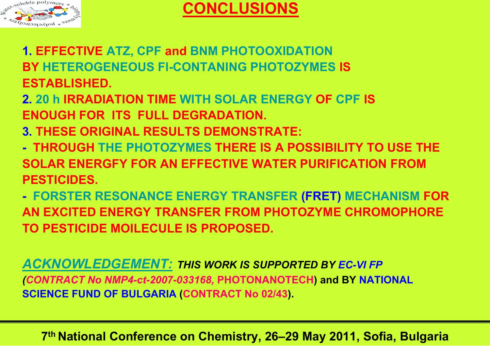

## **CONCLUSIONS**

- **1. EFFECTIVE ATZ, CPF and BNM PHOTOOXIDATION BY HETEROGENEOUS Fl-CONTANING PHOTOZYMES IS ESTABLISHED.**
- **2. 20 h IRRADIATION TIME WITH SOLAR ENERGY OF CPF IS ENOUGH FOR ITS FULL DEGRADATION.**
- **3. THESE ORIGINAL RESULTS DEMONSTRATE:**
- **- THROUGH THE PHOTOZYMES THERE IS A POSSIBILITY TO USE THE SOLAR ENERGFY FOR AN EFFECTIVE WATER PURIFICATION FROM PESTICIDES.**
- **- FORSTER RESONANCE ENERGY TRANSFER (FRET) MECHANISM FOR AN EXCITED ENERGY TRANSFER FROM PHOTOZYME CHROMOPHORE TO PESTICIDE MOILECULE IS PROPOSED.**

*ACKNOWLEDGEMENT: THIS WORK IS SUPPORTED BY EC-VI FP (CONTRACT No NMP4-ct-2007-033168,* **PHOTONANOTECH) and BY NATIONAL SCIENCE FUND OF BULGARIA (CONTRACT No 02/43).**